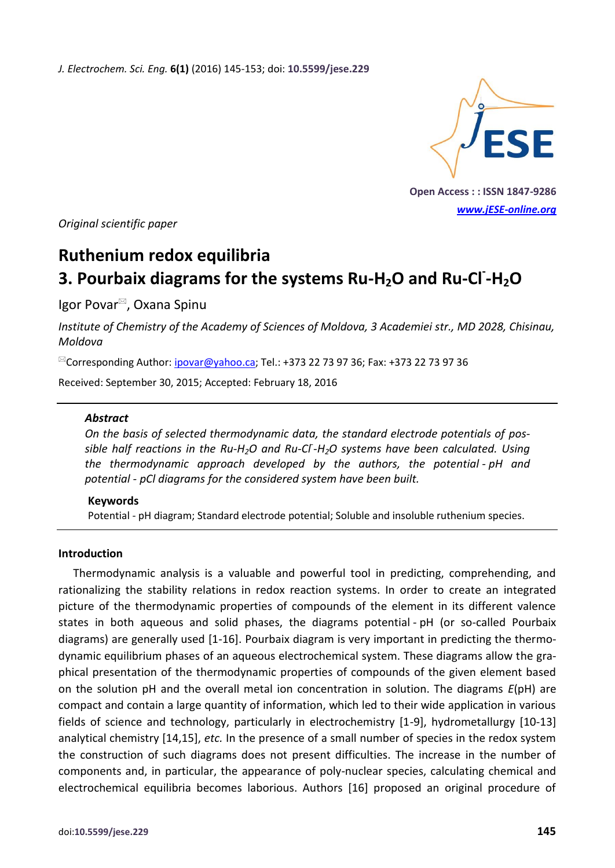*J. Electrochem. Sci. Eng.* **6(1)** (2016) 145-153; doi: **10.5599/jese.229**



**Open Access : : ISSN 1847-9286** *[www.jESE-online.org](http://www.jese-online.org/)*

*Original scientific paper*

# **Ruthenium redox equilibria 3. Pourbaix diagrams for the systems Ru-H2O and Ru-Cl- -H2O**

Igor Povar<sup>⊠</sup>, Oxana Spinu

*Institute of Chemistry of the Academy of Sciences of Moldova, 3 Academiei str., MD 2028, Chisinau, Moldova*

<sup>⊠</sup>Corresponding Author: *ipovar@yahoo.ca;* Tel.: +373 22 73 97 36; Fax: +373 22 73 97 36

Received: September 30, 2015; Accepted: February 18, 2016

#### *Abstract*

*On the basis of selected thermodynamic data, the standard electrode potentials of possible half reactions in the Ru-H2O and Ru-Cl- -H2O systems have been calculated. Using the thermodynamic approach developed by the authors, the potential - pH and potential - pCl diagrams for the considered system have been built.*

#### **Keywords**

Potential - pH diagram; Standard electrode potential; Soluble and insoluble ruthenium species.

#### **Introduction**

Thermodynamic analysis is a valuable and powerful tool in predicting, comprehending, and rationalizing the stability relations in redox reaction systems. In order to create an integrated picture of the thermodynamic properties of compounds of the element in its different valence states in both aqueous and solid phases, the diagrams potential - pH (or so-called Pourbaix diagrams) are generally used [1-16]. Pourbaix diagram is very important in predicting the thermodynamic equilibrium phases of an aqueous electrochemical system. These diagrams allow the graphical presentation of the thermodynamic properties of compounds of the given element based on the solution pH and the overall metal ion concentration in solution. The diagrams *E*(pH) are compact and contain a large quantity of information, which led to their wide application in various fields of science and technology, particularly in electrochemistry [1-9], hydrometallurgy [10-13] analytical chemistry [14,15], *etc.* In the presence of a small number of species in the redox system the construction of such diagrams does not present difficulties. The increase in the number of components and, in particular, the appearance of poly-nuclear species, calculating chemical and electrochemical equilibria becomes laborious. Authors [16] proposed an original procedure of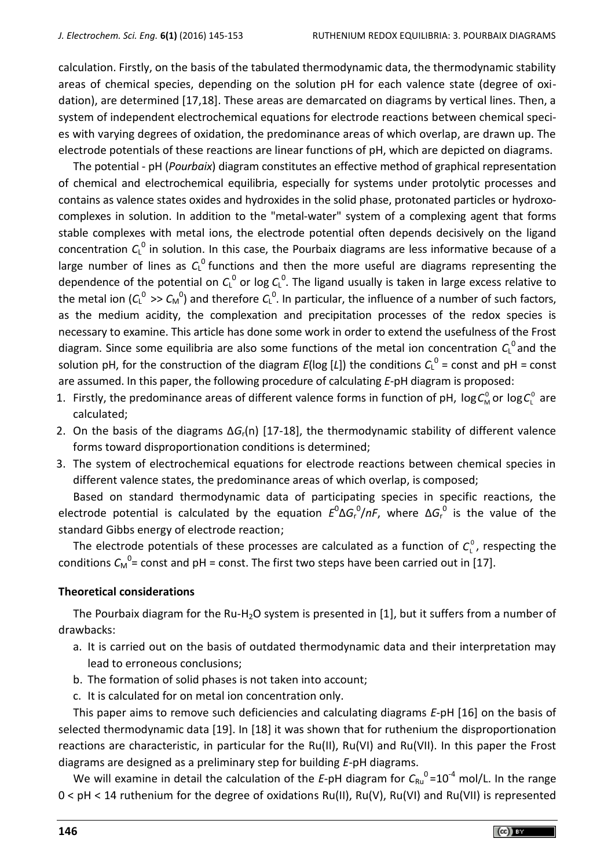calculation. Firstly, on the basis of the tabulated thermodynamic data, the thermodynamic stability areas of chemical species, depending on the solution pH for each valence state (degree of oxidation), are determined [17,18]. These areas are demarcated on diagrams by vertical lines. Then, a system of independent electrochemical equations for electrode reactions between chemical species with varying degrees of oxidation, the predominance areas of which overlap, are drawn up. The electrode potentials of these reactions are linear functions of pH, which are depicted on diagrams.

The potential - pH (*Pourbaix*) diagram constitutes an effective method of graphical representation of chemical and electrochemical equilibria, especially for systems under protolytic processes and contains as valence states oxides and hydroxides in the solid phase, protonated particles or hydroxocomplexes in solution. In addition to the "metal-water" system of a complexing agent that forms stable complexes with metal ions, the electrode potential often depends decisively on the ligand concentration  $C_{L}^{0}$  in solution. In this case, the Pourbaix diagrams are less informative because of a large number of lines as  $C_{L}^{0}$  functions and then the more useful are diagrams representing the dependence of the potential on  $C^0$  or log  $C^0$ . The ligand usually is taken in large excess relative to the metal ion ( $C_L^0 >> C_M^0$ ) and therefore  $C_L^0$ . In particular, the influence of a number of such factors, as the medium acidity, the complexation and precipitation processes of the redox species is necessary to examine. This article has done some work in order to extend the usefulness of the Frost diagram. Since some equilibria are also some functions of the metal ion concentration  $C_{L}^{0}$  and the solution pH, for the construction of the diagram  $E(\log [L])$  the conditions  $C_L^0$  = const and pH = const are assumed. In this paper, the following procedure of calculating *E*-pH diagram is proposed:

- 1. Firstly, the predominance areas of different valence forms in function of pH,  $log C_v^0$  $\log C_{\text{M}}^0$  or  $\log C_{\text{L}}^0$  $log C_{L}^{0}$  are calculated;
- 2. On the basis of the diagrams Δ*G*r(n) [17-18], the thermodynamic stability of different valence forms toward disproportionation conditions is determined;
- 3. The system of electrochemical equations for electrode reactions between chemical species in different valence states, the predominance areas of which overlap, is composed;

Based on standard thermodynamic data of participating species in specific reactions, the electrode potential is calculated by the equation  $E^{0} \Delta G_{r}^{0}/nF$ , where  $\Delta G_{r}^{0}$  is the value of the standard Gibbs energy of electrode reaction;

The electrode potentials of these processes are calculated as a function of  $C_{L}^{0}$ , respecting the conditions  $C_M^0$ = const and pH = const. The first two steps have been carried out in [17].

## **Theoretical considerations**

The Pourbaix diagram for the Ru-H<sub>2</sub>O system is presented in [1], but it suffers from a number of drawbacks:

- a. It is carried out on the basis of outdated thermodynamic data and their interpretation may lead to erroneous conclusions;
- b. The formation of solid phases is not taken into account;
- c. It is calculated for on metal ion concentration only.

This paper aims to remove such deficiencies and calculating diagrams *E*-pH [16] on the basis of selected thermodynamic data [19]. In [18] it was shown that for ruthenium the disproportionation reactions are characteristic, in particular for the Ru(II), Ru(VI) and Ru(VII). In this paper the Frost diagrams are designed as a preliminary step for building *E*-pH diagrams.

We will examine in detail the calculation of the E-pH diagram for  $C_{\text{Ru}}^0$ =10<sup>-4</sup> mol/L. In the range 0 < pH < 14 ruthenium for the degree of oxidations Ru(II), Ru(V), Ru(VI) and Ru(VII) is represented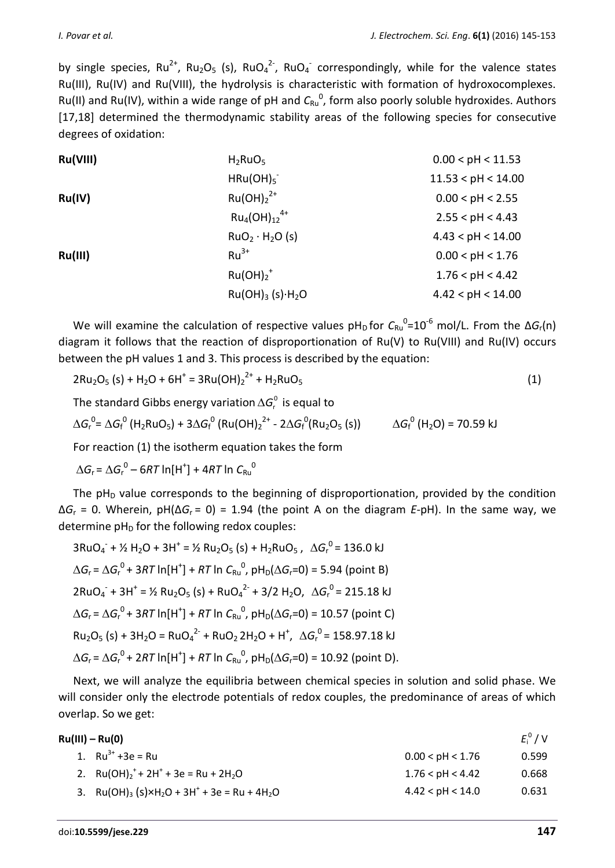by single species,  $Ru^{2+}$ ,  $Ru_2O_5$  (s),  $RuO_4^{2-}$ ,  $RuO_4^-$  correspondingly, while for the valence states Ru(III), Ru(IV) and Ru(VIII), the hydrolysis is characteristic with formation of hydroxocomplexes. Ru(II) and Ru(IV), within a wide range of pH and C<sub>Ru</sub><sup>0</sup>, form also poorly soluble hydroxides. Authors [17,18] determined the thermodynamic stability areas of the following species for consecutive degrees of oxidation:

| Ru(VIII) | $H_2RuO_5$                               | 0.00 < pH < 11.53  |
|----------|------------------------------------------|--------------------|
|          | HRu(OH) <sub>5</sub>                     | 11.53 < pH < 14.00 |
| Ru(IV)   | $Ru(OH)22+$                              | 0.00 < pH < 2.55   |
|          | $Ru_4(OH)_{12}^{4+}$                     | 2.55 < pH < 4.43   |
|          | RuO <sub>2</sub> · H <sub>2</sub> O (s)  | 4.43 < pH < 14.00  |
| Ru(III)  | $Ru^{3+}$                                | 0.00 < pH < 1.76   |
|          | $Ru(OH)2$ <sup>+</sup>                   | 1.76 < pH < 4.42   |
|          | Ru(OH) <sub>3</sub> (s)·H <sub>2</sub> O | 4.42 < pH < 14.00  |
|          |                                          |                    |

We will examine the calculation of respective values  $pH_D$  for  $C_{Ru}^0=10^{-6}$  mol/L. From the  $\Delta G_r(n)$ diagram it follows that the reaction of disproportionation of Ru(V) to Ru(VIII) and Ru(IV) occurs between the pH values 1 and 3. This process is described by the equation:

$$
2Ru_2O_5 (s) + H_2O + 6H^+ = 3Ru(OH)_2^{2+} + H_2RuO_5
$$
 (1)

The standard Gibbs energy variation  $\Delta G_{\scriptscriptstyle \! F}^{\scriptscriptstyle 0}$  is equal to

$$
\Delta G_r^0 = \Delta G_f^0 \left( H_2RuO_5 \right) + 3\Delta G_f^0 \left( Ru(OH)_2^{2+} - 2\Delta G_f^0(Ru_2O_5 \text{ (s)} \right) \qquad \Delta G_f^0 \left( H_2O \right) = 70.59 \text{ kJ}
$$

For reaction (1) the isotherm equation takes the form

 $\Delta G_r = \Delta G_r^0 - 6RT \ln[H^+] + 4RT \ln C_{Ru}^0$ 

The  $pH<sub>D</sub>$  value corresponds to the beginning of disproportionation, provided by the condition Δ*G*<sup>r</sup> = 0. Wherein, pH(Δ*G*r = 0) = 1.94 (the point A on the diagram *E*-pH). In the same way, we determine  $pH_D$  for the following redox couples:

$$
3RuO_4^- + \frac{1}{2}H_2O + 3H^+ = \frac{1}{2}Ru_2O_5(s) + H_2RuO_5, \quad \Delta G_r^O = 136.0 \text{ kJ}
$$
\n
$$
\Delta G_r = \Delta G_r^O + 3RT \ln[H^+] + RT \ln C_{Ru}^O, pH_D(\Delta G_r = 0) = 5.94 \text{ (point B)}
$$
\n
$$
2RuO_4^- + 3H^+ = \frac{1}{2} Ru_2O_5(s) + RuO_4^{2-} + 3/2 H_2O, \quad \Delta G_r^O = 215.18 \text{ kJ}
$$
\n
$$
\Delta G_r = \Delta G_r^O + 3RT \ln[H^+] + RT \ln C_{Ru}^O, pH_D(\Delta G_r = 0) = 10.57 \text{ (point C)}
$$
\n
$$
Ru_2O_5(s) + 3H_2O = RuO_4^{2-} + RuO_2 2H_2O + H^+, \quad \Delta G_r^O = 158.97.18 \text{ kJ}
$$
\n
$$
\Delta G_r = \Delta G_r^O + 2RT \ln[H^+] + RT \ln C_{Ru}^O, pH_D(\Delta G_r = 0) = 10.92 \text{ (point D)}.
$$

Next, we will analyze the equilibria between chemical species in solution and solid phase. We will consider only the electrode potentials of redox couples, the predominance of areas of which overlap. So we get:

| Ru(III) – Ru(0)                                                                             |                      | $E_i^0$ / V |
|---------------------------------------------------------------------------------------------|----------------------|-------------|
| 1. $Ru^{3+} + 3e = Ru$                                                                      | 0.00 < pH < 1.76     | 0.599       |
| 2. $Ru(OH)2+ + 2H+ + 3e = Ru + 2H2O$                                                        | 1.76 < pH < 4.42     | 0.668       |
| 3. Ru(OH) <sub>3</sub> (s)×H <sub>2</sub> O + 3H <sup>+</sup> + 3e = Ru + 4H <sub>2</sub> O | $4.42 <$ pH $< 14.0$ | 0.631       |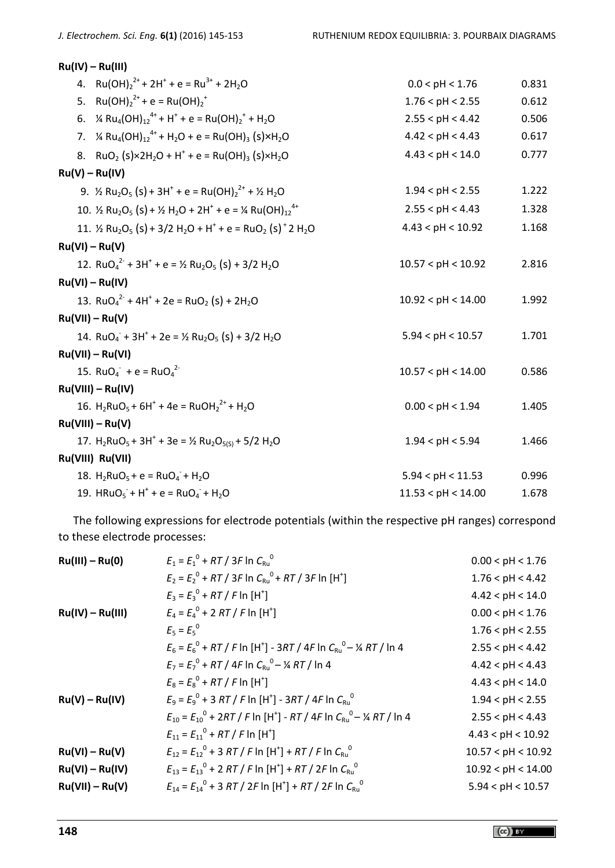| $Ru(IV) - Ru(III)$                                                                                                                                             |                    |       |
|----------------------------------------------------------------------------------------------------------------------------------------------------------------|--------------------|-------|
| 4. $Ru(OH)22+ + 2H+ + e = Ru3+ + 2H2O$                                                                                                                         | 0.0 < pH < 1.76    | 0.831 |
| 5. $Ru(OH)22+ + e = Ru(OH)2+$                                                                                                                                  | 1.76 < pH < 2.55   | 0.612 |
| 6. $\frac{1}{4}$ Ru <sub>4</sub> (OH) <sub>12</sub> <sup>4+</sup> + H <sup>+</sup> + e = Ru(OH) <sub>2</sub> <sup>+</sup> + H <sub>2</sub> O                   | 2.55 < pH < 4.42   | 0.506 |
| 7. $\frac{1}{4}$ Ru <sub>4</sub> (OH) <sub>12</sub> <sup>4+</sup> + H <sub>2</sub> O + e = Ru(OH) <sub>3</sub> (S)×H <sub>2</sub> O                            | 4.42 < pH < 4.43   | 0.617 |
| 8. RuO <sub>2</sub> (s)×2H <sub>2</sub> O + H <sup>+</sup> + e = Ru(OH) <sub>3</sub> (s)×H <sub>2</sub> O                                                      | 4.43 < pH < 14.0   | 0.777 |
| $Ru(V) - Ru(IV)$                                                                                                                                               |                    |       |
| 9. $\frac{1}{2}$ Ru <sub>2</sub> O <sub>5</sub> (S) + 3H <sup>+</sup> + e = Ru(OH) <sub>2</sub> <sup>2+</sup> + $\frac{1}{2}$ H <sub>2</sub> O                 | 1.94 < pH < 2.55   | 1.222 |
| 10. $\frac{1}{2}$ Ru <sub>2</sub> O <sub>5</sub> (s) + $\frac{1}{2}$ H <sub>2</sub> O + 2H <sup>+</sup> + e = $\frac{1}{4}$ Ru(OH) <sub>12</sub> <sup>4+</sup> | 2.55 < pH < 4.43   | 1.328 |
| 11. $\frac{1}{2}$ Ru <sub>2</sub> O <sub>5</sub> (s) + 3/2 H <sub>2</sub> O + H <sup>+</sup> + e = RuO <sub>2</sub> (s) <sup>+</sup> 2 H <sub>2</sub> O        | 4.43 < pH < 10.92  | 1.168 |
| $Ru(VI) - Ru(V)$                                                                                                                                               |                    |       |
| 12. $RuO42 + 3H+ + e = 1/2 Ru2O5(s) + 3/2 H2O$                                                                                                                 | 10.57 < pH < 10.92 | 2.816 |
| $Ru(VI) - Ru(IV)$                                                                                                                                              |                    |       |
| 13. $RuO_4^2$ + 4H <sup>+</sup> + 2e = RuO <sub>2</sub> (s) + 2H <sub>2</sub> O                                                                                | 10.92 < pH < 14.00 | 1.992 |
| $Ru(VII) - Ru(V)$                                                                                                                                              |                    |       |
| 14. RuO <sub>4</sub> + 3H <sup>+</sup> + 2e = 1/ <sub>2</sub> Ru <sub>2</sub> O <sub>5</sub> (s) + 3/2 H <sub>2</sub> O                                        | 5.94 < pH < 10.57  | 1.701 |
| $Ru(VII) - Ru(VI)$                                                                                                                                             |                    |       |
| 15. $RuO_4^- + e = RuO_4^{2}$                                                                                                                                  | 10.57 < pH < 14.00 | 0.586 |
| $Ru(VIII) - Ru(IV)$                                                                                                                                            |                    |       |
| 16. $H_2RuO_5 + 6H^+ + 4e = RuOH_2^{2+} + H_2O$                                                                                                                | 0.00 < pH < 1.94   | 1.405 |
| $Ru(VIII) - Ru(V)$                                                                                                                                             |                    |       |
| 17. $H_2RuO_5 + 3H^+ + 3e = \frac{1}{2} Ru_2O_{5(5)} + \frac{5}{2} H_2O$                                                                                       | 1.94 < pH < 5.94   | 1.466 |
| Ru(VIII) Ru(VII)                                                                                                                                               |                    |       |
| 18. $H_2RuO_5 + e = RuO_4 + H_2O$                                                                                                                              | 5.94 < pH < 11.53  | 0.996 |
| 19. $HRuO_5$ + H <sup>+</sup> + e = $RuO_4$ + H <sub>2</sub> O                                                                                                 | 11.53 < pH < 14.00 | 1.678 |

The following expressions for electrode potentials (within the respective pH ranges) correspond to these electrode processes:

| $Ru(III) - Ru(0)$  | $E_1 = E_1^0 + RT / 3F \ln C_{\text{B1}}^0$                                                                   | 0.00 < pH < 1.76   |
|--------------------|---------------------------------------------------------------------------------------------------------------|--------------------|
|                    | $E_2 = E_2^0 + RT / 3F \ln C_{\text{Ru}}^0 + RT / 3F \ln[H^+]$                                                | 1.76 < pH < 4.42   |
|                    | $E_3 = E_3^0 + RT / F \ln[H^+]$                                                                               | 4.42 < pH < 14.0   |
| $Ru(IV) - Ru(III)$ | $E_4 = E_4^0 + 2 RT / F \ln[H^+]$                                                                             | 0.00 < pH < 1.76   |
|                    | $E_5 = E_5^0$                                                                                                 | 1.76 < pH < 2.55   |
|                    | $E_6 = E_6^0 + RT / F \ln[H^+] - 3RT / 4F \ln C_{\text{Ru}}^0 - \frac{1}{4} RT / \ln 4$                       | 2.55 < pH < 4.42   |
|                    | $E_7 = E_7^0 + RT / 4F \ln C_{\text{Ru}}^0 - \frac{1}{4} RT / \ln 4$                                          | 4.42 < pH < 4.43   |
|                    | $E_8 = E_8^0 + RT / F \ln[H^+]$                                                                               | 4.43 < pH < 14.0   |
| $Ru(V) - Ru(IV)$   | $E_9 = E_9^0 + 3 RT / F \ln[H^+] - 3RT / 4F \ln C_{R10}^0$                                                    | 1.94 < pH < 2.55   |
|                    | $E_{10} = E_{10}^{0} + 2RT / F$ In [H <sup>+</sup> ] - RT / 4F In $C_{\text{Ru}}^{0} - \frac{1}{4}$ RT / In 4 | 2.55 < pH < 4.43   |
|                    | $E_{11} = E_{11}^0 + RT / F \ln[H^+]$                                                                         | 4.43 < pH < 10.92  |
| $Ru(VI) - Ru(V)$   | $E_{12} = E_{12}^0 + 3 RT / F \ln[H^+] + RT / F \ln C_{RU}^0$                                                 | 10.57 < pH < 10.92 |
| $Ru(VI) - Ru(IV)$  | $E_{13} = E_{13}^{0} + 2 RT / F \ln[H^{\dagger}] + RT / 2F \ln C_{\text{RU}}^{0}$                             | 10.92 < pH < 14.00 |
| $Ru(VII) - Ru(V)$  | $E_{14} = E_{14}^{0} + 3 RT / 2F \ln[H^{\dagger}] + RT / 2F \ln C_{Ru}^{0}$                                   | 5.94 < pH < 10.57  |
|                    |                                                                                                               |                    |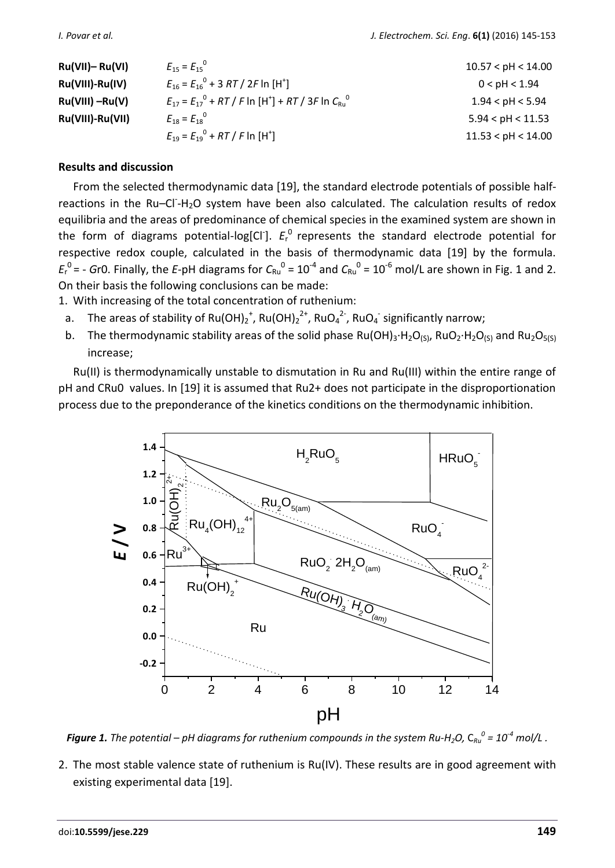| $Ru(VII)$ - Ru(VI) | $E_{15} = E_{15}^{0}$                                            | 10.57 < pH < 14.00 |
|--------------------|------------------------------------------------------------------|--------------------|
| Ru(VIII)-Ru(IV)    | $E_{16} = E_{16}^{0} + 3 RT / 2F \ln{H}^{+}$                     | 0 < pH < 1.94      |
| $Ru(VIII) - Ru(V)$ | $E_{17} = E_{17}^{0} + RT / F \ln[H^+] + RT / 3F \ln C_{Ru}^{0}$ | 1.94 < pH < 5.94   |
| Ru(VIII)-Ru(VII)   | $E_{18} = E_{18}^{0}$                                            | 5.94 < pH < 11.53  |
|                    | $E_{19} = E_{19}^0 + RT / F \ln[H^+]$                            | 11.53 < pH < 14.00 |

## **Results and discussion**

From the selected thermodynamic data [19], the standard electrode potentials of possible halfreactions in the Ru-Cl-H<sub>2</sub>O system have been also calculated. The calculation results of redox equilibria and the areas of predominance of chemical species in the examined system are shown in the form of diagrams potential-log[Cl<sup>-</sup>].  $E_r^0$  represents the standard electrode potential for respective redox couple, calculated in the basis of thermodynamic data [19] by the formula.  $E_r^0$  = - *G*r0. Finally, the *E*-pH diagrams for  $C_{Ru}^0$  = 10<sup>-4</sup> and  $C_{Ru}^0$  = 10<sup>-6</sup> mol/L are shown in Fig. 1 and 2. On their basis the following conclusions can be made:

1. With increasing of the total concentration of ruthenium:

- a. The areas of stability of Ru(OH)<sub>2</sub><sup>+</sup>, Ru(OH)<sub>2</sub><sup>2+</sup>, RuO<sub>4</sub><sup>2-</sup>, RuO<sub>4</sub><sup>-</sup> significantly narrow;
- b. The thermodynamic stability areas of the solid phase Ru(OH)<sub>3</sub>⋅H<sub>2</sub>O<sub>(S)</sub>, RuO<sub>2</sub>⋅H<sub>2</sub>O<sub>(S)</sub> and Ru<sub>2</sub>O<sub>5(S)</sub> increase;

Ru(II) is thermodynamically unstable to dismutation in Ru and Ru(III) within the entire range of pH and CRu0 values. In [19] it is assumed that Ru2+ does not participate in the disproportionation process due to the preponderance of the kinetics conditions on the thermodynamic inhibition.



*Figure 1. The potential – pH diagrams for ruthenium compounds in the system Ru-H<sub>2</sub>O, C<sub>Ru</sub>*  $^0$  *= 10<sup>-4</sup> mol/L .* 

2. The most stable valence state of ruthenium is Ru(IV). These results are in good agreement with existing experimental data [19].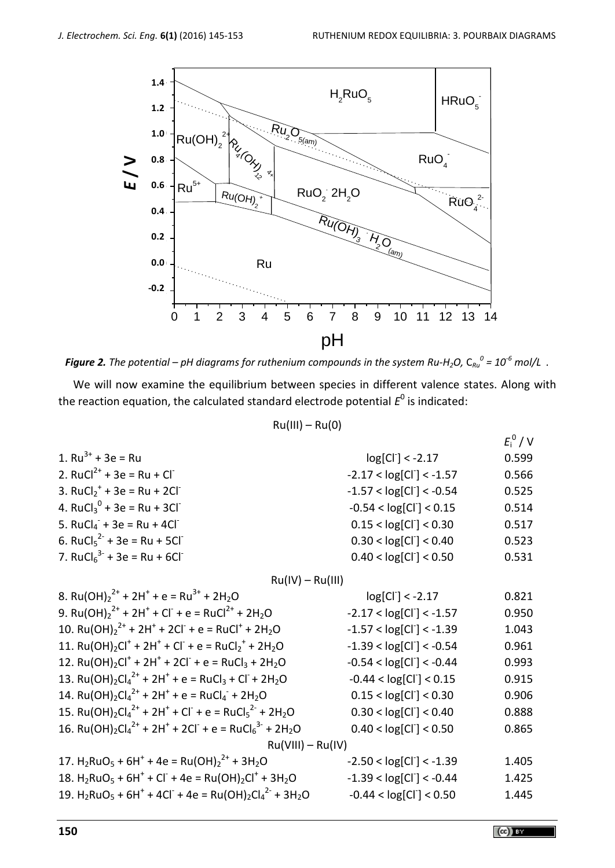

*Figure 2. The potential – pH diagrams for ruthenium compounds in the system Ru-H<sub>2</sub>O, C* $_{Ru}^o$  *= 10<sup>-6</sup> mol/L .* 

We will now examine the equilibrium between species in different valence states. Along with the reaction equation, the calculated standard electrode potential  $E^0$  is indicated:

 $Ru(III) - Ru(0)$ 

|                                                                                                                                                      |                           | $E_i^0$ / V |  |
|------------------------------------------------------------------------------------------------------------------------------------------------------|---------------------------|-------------|--|
| 1. $Ru^{3+} + 3e = Ru$                                                                                                                               | $log[CI] < -2.17$         | 0.599       |  |
| 2. RuCl <sup>2+</sup> + 3e = Ru + Cl <sup>-</sup>                                                                                                    | $-2.17 < log[CI] < -1.57$ | 0.566       |  |
| 3. RuCl <sub>2</sub> <sup>+</sup> + 3e = Ru + 2Cl <sup>-</sup>                                                                                       | $-1.57 < log[CI] < -0.54$ | 0.525       |  |
| 4. RuCl <sub>3</sub> <sup>0</sup> + 3e = Ru + 3Cl <sup>-</sup>                                                                                       | $-0.54 < log[CI] < 0.15$  | 0.514       |  |
| 5. $RuCl4- + 3e = Ru + 4Cl-$                                                                                                                         | 0.15 < log[CI] < 0.30     | 0.517       |  |
| 6. RuCl <sub>5</sub> <sup>2-</sup> + 3e = Ru + 5Cl <sup>-</sup>                                                                                      | 0.30 < log[CI] < 0.40     | 0.523       |  |
| 7. RuCl <sub>6</sub> <sup>3-</sup> + 3e = Ru + 6Cl <sup>-</sup>                                                                                      | 0.40 < log[CI] < 0.50     | 0.531       |  |
| $Ru(IV) - Ru(III)$                                                                                                                                   |                           |             |  |
| 8. Ru(OH) <sub>2</sub> <sup>2+</sup> + 2H <sup>+</sup> + e = Ru <sup>3+</sup> + 2H <sub>2</sub> O                                                    | $log[Cl^{-}] < -2.17$     | 0.821       |  |
| 9. Ru(OH) <sub>2</sub> <sup>2+</sup> + 2H <sup>+</sup> + Cl <sup>+</sup> + e = RuCl <sup>2+</sup> + 2H <sub>2</sub> O                                | $-2.17 < log[CI] < -1.57$ | 0.950       |  |
| 10. Ru(OH) <sub>2</sub> <sup>2+</sup> + 2H <sup>+</sup> + 2Cl <sup>-</sup> + e = RuCl <sup>+</sup> + 2H <sub>2</sub> O                               | $-1.57 < log[CI] < -1.39$ | 1.043       |  |
| 11. Ru(OH) <sub>2</sub> Cl <sup>+</sup> + 2H <sup>+</sup> + Cl <sup>-</sup> + e = RuCl <sub>2</sub> <sup>+</sup> + 2H <sub>2</sub> O                 | $-1.39 < log[CI] < -0.54$ | 0.961       |  |
| 12. Ru(OH) <sub>2</sub> Cl <sup>+</sup> + 2H <sup>+</sup> + 2Cl <sup>-</sup> + e = RuCl <sub>3</sub> + 2H <sub>2</sub> O                             | $-0.54 < log[CI] < -0.44$ | 0.993       |  |
| 13. Ru(OH) <sub>2</sub> Cl <sub>4</sub> <sup>2+</sup> + 2H <sup>+</sup> + e = RuCl <sub>3</sub> + Cl <sup>-</sup> + 2H <sub>2</sub> O                | $-0.44 < log[CI] < 0.15$  | 0.915       |  |
| 14. Ru(OH) <sub>2</sub> Cl <sub>4</sub> <sup>2+</sup> + 2H <sup>+</sup> + e = RuCl <sub>4</sub> <sup>+</sup> + 2H <sub>2</sub> O                     | 0.15 < log[CI] < 0.30     | 0.906       |  |
| 15. Ru(OH) <sub>2</sub> Cl <sub>4</sub> <sup>2+</sup> + 2H <sup>+</sup> + Cl <sup>-</sup> + e = RuCl <sub>5</sub> <sup>2-</sup> + 2H <sub>2</sub> O  | 0.30 < log[CI] < 0.40     | 0.888       |  |
| 16. Ru(OH) <sub>2</sub> Cl <sub>4</sub> <sup>2+</sup> + 2H <sup>+</sup> + 2Cl <sup>-</sup> + e = RuCl <sub>6</sub> <sup>3-</sup> + 2H <sub>2</sub> O | 0.40 < log[CI] < 0.50     | 0.865       |  |
| $Ru(VIII) - Ru(IV)$                                                                                                                                  |                           |             |  |
| 17. H <sub>2</sub> RuO <sub>5</sub> + 6H <sup>+</sup> + 4e = Ru(OH) <sub>2</sub> <sup>2+</sup> + 3H <sub>2</sub> O                                   | $-2.50 < log[CI] < -1.39$ | 1.405       |  |
| 18. $H_2RuO_5 + 6H^+ + Cl^- + 4e = Ru(OH)_2Cl^+ + 3H_2O$                                                                                             | $-1.39 < log[CI] < -0.44$ | 1.425       |  |
| 19. $H_2RuO_5$ + 6H <sup>+</sup> + 4Cl <sup>-</sup> + 4e = Ru(OH) <sub>2</sub> Cl <sub>4</sub> <sup>2-</sup> + 3H <sub>2</sub> O                     | $-0.44 < log[CI] < 0.50$  | 1.445       |  |
|                                                                                                                                                      |                           |             |  |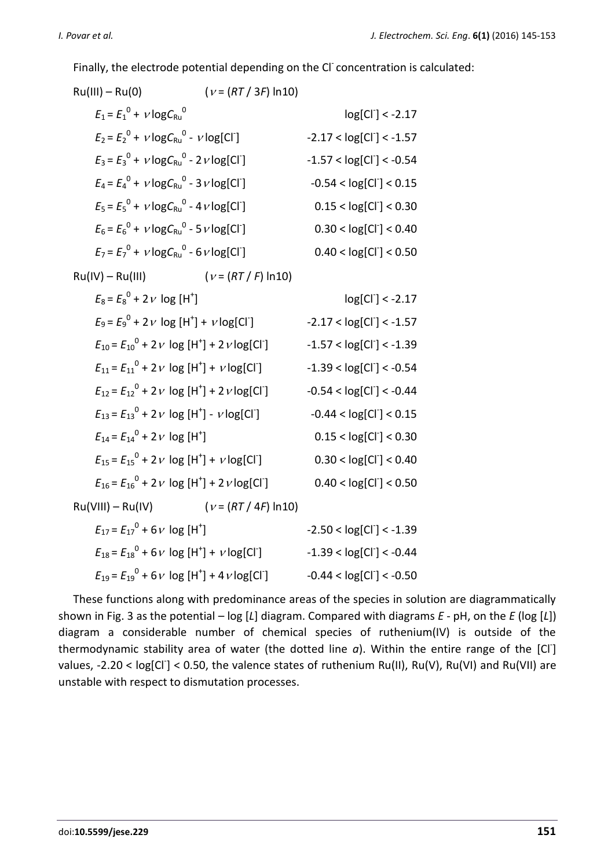Finally, the electrode potential depending on the CI concentration is calculated:

| Ru(III) – Ru(0)                                                      | $(V = (RT / 3F) \ln 10)$   |                               |
|----------------------------------------------------------------------|----------------------------|-------------------------------|
| $E_1 = E_1^0 + v \log C_{\text{Ru}}^0$                               |                            | $log[Cl^{-}] < -2.17$         |
| $E_2 = E_2^0 + v \log C_{\text{Ru}}^0 - v \log[\text{Cl}^{\cdot}]$   |                            | $-2.17 < log[CI] < -1.57$     |
| $E_3 = E_3^0 + v \log C_{\text{Ru}}^0 - 2v \log[\text{Cl}^0]$        |                            | $-1.57 < log[CI^-] < -0.54$   |
| $E_4 = E_4^0 + v \log C_{Ru}^0 - 3 v \log [Cl^0]$                    |                            | $-0.54 < log[CI] < 0.15$      |
| $E_5 = E_5^0 + v \log C_{Ru}^0 - 4v \log [Cl]$                       |                            | 0.15 < log[CI] < 0.30         |
| $E_6 = E_6^0 + v \log C_{\text{Ru}}^0 - 5 v \log[\text{Cl}^{\cdot}]$ |                            | 0.30 < log[CI] < 0.40         |
| $E_7 = E_7^0 + v \log C_{Ru}^0 - 6 v \log [Cl^T]$                    |                            | 0.40 < log[CI] < 0.50         |
| $Ru(IV) - Ru(III)$                                                   | $(\nu = (RT / F) \ln 10)$  |                               |
| $E_8 = E_8^0 + 2v \log[H^+]$                                         |                            | $log[CI] < -2.17$             |
| $E_9 = E_9^0 + 2v \log[H^+] + v \log[Cl^+]$                          |                            | $-2.17 < log[CI] < -1.57$     |
| $E_{10} = E_{10}^0 + 2v \log[H^+] + 2v \log[Cl^+]$                   |                            | $-1.57 < log[Cl^{-}] < -1.39$ |
| $E_{11} = E_{11}^0 + 2v \log[H^+] + v \log[CI]$                      |                            | $-1.39 < log[CI] < -0.54$     |
| $E_{12} = E_{12}^{0} + 2v \log[H^+] + 2v \log[Cl^+]$                 |                            | $-0.54 < log[Cl^{-}] < -0.44$ |
| $E_{13} = E_{13}^0 + 2v \log[H^+] - v \log[Cl]$                      |                            | $-0.44 < log[CI] < 0.15$      |
| $E_{14} = E_{14}^{0} + 2v \log[H^+]$                                 |                            | 0.15 < log[CI] < 0.30         |
| $E_{15} = E_{15}^{0} + 2v \log[H^+] + v \log[Cl^+]$                  |                            | 0.30 < log[CI] < 0.40         |
| $E_{16} = E_{16}^{0} + 2 v \log[H^+] + 2 v \log[Cl^+]$               |                            | 0.40 < log[CI] < 0.50         |
| Ru(VIII) – Ru(IV)                                                    | $(\nu = (RT / 4F) \ln 10)$ |                               |
| $E_{17} = E_{17}^{0} + 6v \log[H^+]$                                 |                            | $-2.50 < log[CI^{-}] < -1.39$ |
| $E_{18} = E_{18}^{0} + 6v \log[H^+] + v \log[Cl^+]$                  |                            | $-1.39 < log[CI] < -0.44$     |
| $E_{19} = E_{19}^0 + 6v \log[H^+] + 4v \log[Cl^+]$                   |                            | $-0.44 < log[CI] < -0.50$     |

These functions along with predominance areas of the species in solution are diagrammatically shown in Fig. 3 as the potential – log [*L*] diagram. Compared with diagrams *E* - pH, on the *E* (log [*L*]) diagram a considerable number of chemical species of ruthenium(IV) is outside of the thermodynamic stability area of water (the dotted line a). Within the entire range of the [Cl<sup>-</sup>] values, -2.20 < log[Cl<sup>-</sup>] < 0.50, the valence states of ruthenium Ru(II), Ru(V), Ru(VI) and Ru(VII) are unstable with respect to dismutation processes.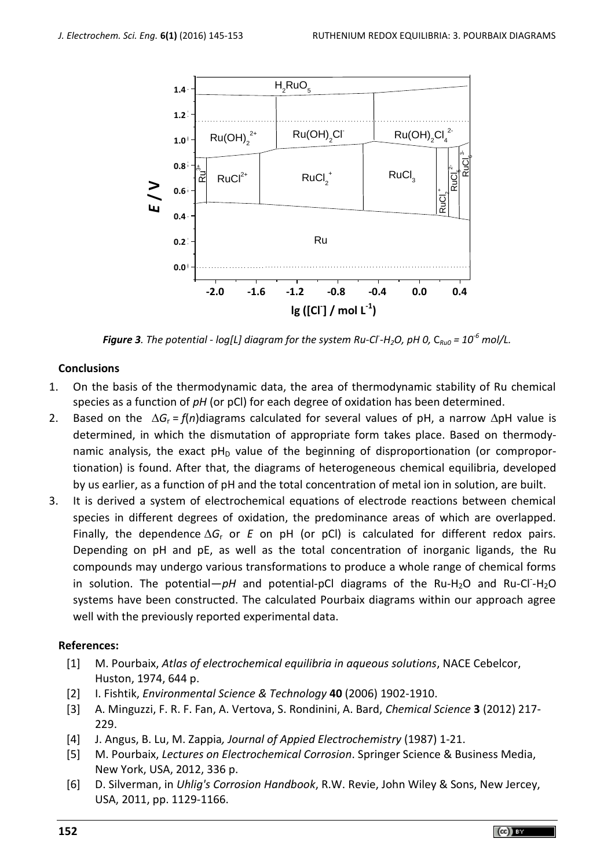

*Figure 3. The potential - log[L] diagram for the system Ru-Cl- -H2O, pH 0,* C*Ru0 = 10-6 mol/L.*

## **Conclusions**

- 1. On the basis of the thermodynamic data, the area of thermodynamic stability of Ru chemical species as a function of *pH* (or pCl) for each degree of oxidation has been determined.
- 2. Based on the  $\Delta G_r = f(n)$ diagrams calculated for several values of pH, a narrow  $\Delta$ pH value is determined, in which the dismutation of appropriate form takes place. Based on thermodynamic analysis, the exact  $pH_D$  value of the beginning of disproportionation (or comproportionation) is found. After that, the diagrams of heterogeneous chemical equilibria, developed by us earlier, as a function of pH and the total concentration of metal ion in solution, are built.
- 3. It is derived a system of electrochemical equations of electrode reactions between chemical species in different degrees of oxidation, the predominance areas of which are overlapped. Finally, the dependence  $\Delta G_r$  or *E* on pH (or pCl) is calculated for different redox pairs. Depending on pH and pE, as well as the total concentration of inorganic ligands, the Ru compounds may undergo various transformations to produce a whole range of chemical forms in solution. The potential—pH and potential-pCl diagrams of the Ru-H<sub>2</sub>O and Ru-Cl<sup>-</sup>H<sub>2</sub>O systems have been constructed. The calculated Pourbaix diagrams within our approach agree well with the previously reported experimental data.

## **References:**

- [1] M. Pourbaix, *Atlas of electrochemical equilibria in aqueous solutions*, NACE Cebelcor, Huston, 1974, 644 p.
- [2] I. Fishtik, *Environmental Science & Technology* **40** (2006) 1902-1910.
- [3] A. Minguzzi, F. R. F. Fan, A. Vertova, S. Rondinini, A. Bard, *Chemical Science* **3** (2012) 217- 229.
- [4] J. Angus, B. Lu, M. Zappia*, Journal of Appied Electrochemistry* (1987) 1-21.
- [5] M. Pourbaix, *Lectures on Electrochemical Corrosion*. Springer Science & Business Media, New York, USA, 2012, 336 p.
- [6] D. Silverman, in *Uhlig's Corrosion Handbook*, R.W. Revie, John Wiley & Sons, New Jercey, USA, 2011, pp. 1129-1166.